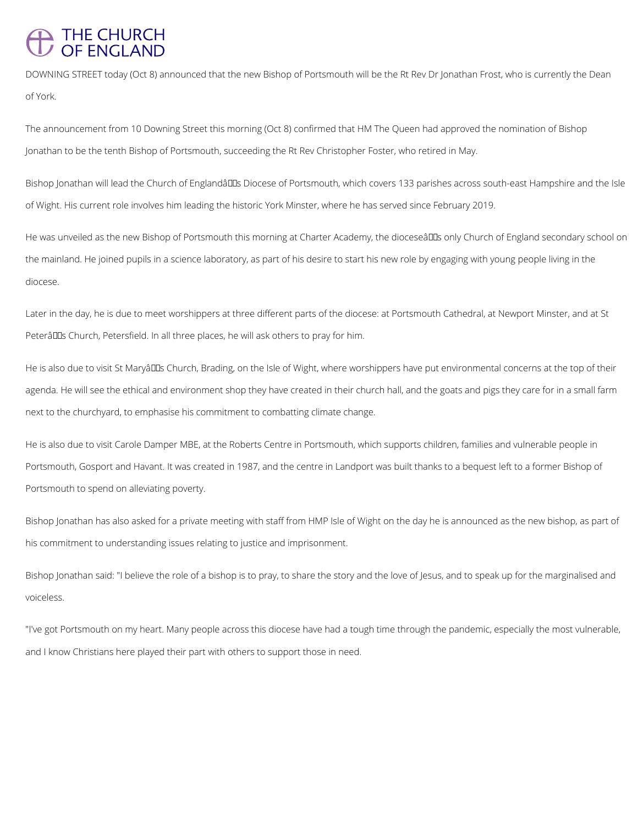## THE CHURCH<br>OF ENGLAND

DOWNING STREET today (Oct 8) announced that the new Bishop of Portsmouth will be the Rt Rev Dr Jonathan Frost, who is currently the Dean of York.

The announcement from 10 Downing Street this morning (Oct 8) confirmed that HM The Queen had approved the nomination of Bishop Jonathan to be the tenth Bishop of Portsmouth, succeeding the Rt Rev Christopher Foster, who retired in May.

Bishop Jonathan will lead the Church of Englandâuls Diocese of Portsmouth, which covers 133 parishes across south-east Hampshire and the Isle of Wight. His current role involves him leading the historic York Minster, where he has served since February 2019.

He was unveiled as the new Bishop of Portsmouth this morning at Charter Academy, the dioceseâll is only Church of England secondary school on the mainland. He joined pupils in a science laboratory, as part of his desire to start his new role by engaging with young people living in the diocese.

Later in the day, he is due to meet worshippers at three different parts of the diocese: at Portsmouth Cathedral, at Newport Minster, and at St Peterâll Dus Church, Petersfield. In all three places, he will ask others to pray for him.

He is also due to visit St Maryâll Dis Church, Brading, on the Isle of Wight, where worshippers have put environmental concerns at the top of their agenda. He will see the ethical and environment shop they have created in their church hall, and the goats and pigs they care for in a small farm next to the churchyard, to emphasise his commitment to combatting climate change.

He is also due to visit Carole Damper MBE, at the Roberts Centre in Portsmouth, which supports children, families and vulnerable people in Portsmouth, Gosport and Havant. It was created in 1987, and the centre in Landport was built thanks to a bequest left to a former Bishop of Portsmouth to spend on alleviating poverty.

Bishop Jonathan has also asked for a private meeting with staff from HMP Isle of Wight on the day he is announced as the new bishop, as part of his commitment to understanding issues relating to justice and imprisonment.

Bishop Jonathan said: "I believe the role of a bishop is to pray, to share the story and the love of Jesus, and to speak up for the marginalised and voiceless.

"I've got Portsmouth on my heart. Many people across this diocese have had a tough time through the pandemic, especially the most vulnerable,

and I know Christians here played their part with others to support those in need.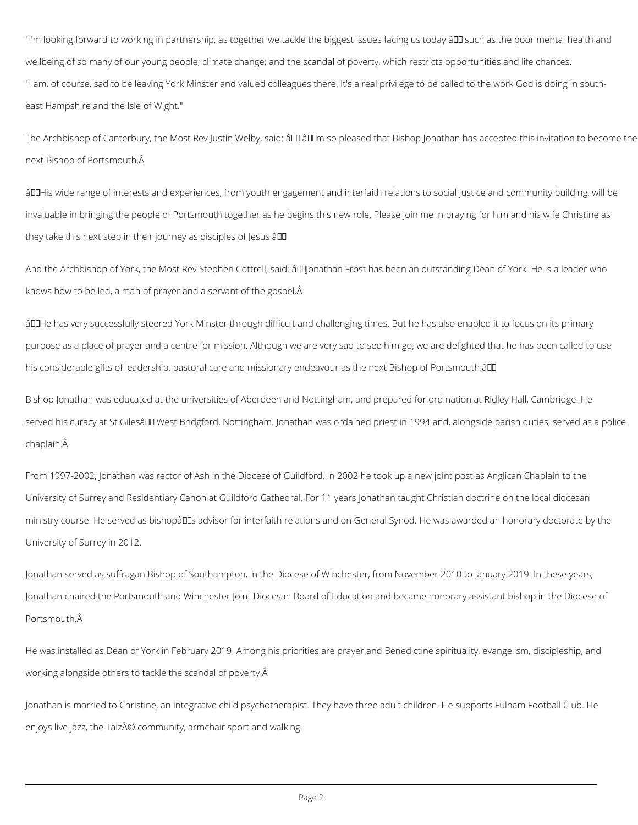"I'm looking forward to working in partnership, as together we tackle the biggest issues facing us today â ll such as the poor mental health and wellbeing of so many of our young people; climate change; and the scandal of poverty, which restricts opportunities and life chances. "I am, of course, sad to be leaving York Minster and valued colleagues there. It's a real privilege to be called to the work God is doing in southeast Hampshire and the Isle of Wight."

The Archbishop of Canterbury, the Most Rev Justin Welby, said: âLlalLLIm so pleased that Bishop Jonathan has accepted this invitation to become the next Bishop of Portsmouth.

âDDHis wide range of interests and experiences, from youth engagement and interfaith relations to social justice and community building, will be invaluable in bringing the people of Portsmouth together as he begins this new role. Please join me in praying for him and his wife Christine as they take this next step in their journey as disciples of Jesus.â

And the Archbishop of York, the Most Rev Stephen Cottrell, said: âDDJonathan Frost has been an outstanding Dean of York. He is a leader who knows how to be led, a man of prayer and a servant of the gospel.

âDDHe has very successfully steered York Minster through difficult and challenging times. But he has also enabled it to focus on its primary purpose as a place of prayer and a centre for mission. Although we are very sad to see him go, we are delighted that he has been called to use his considerable gifts of leadership, pastoral care and missionary endeavour as the next Bishop of Portsmouth.â

Bishop Jonathan was educated at the universities of Aberdeen and Nottingham, and prepared for ordination at Ridley Hall, Cambridge. He served his curacy at St Gilesâ III West Bridgford, Nottingham. Jonathan was ordained priest in 1994 and, alongside parish duties, served as a police chaplain.

From 1997-2002, Jonathan was rector of Ash in the Diocese of Guildford. In 2002 he took up a new joint post as Anglican Chaplain to the University of Surrey and Residentiary Canon at Guildford Cathedral. For 11 years Jonathan taught Christian doctrine on the local diocesan ministry course. He served as bishopâlles advisor for interfaith relations and on General Synod. He was awarded an honorary doctorate by the University of Surrey in 2012.

Jonathan served as suffragan Bishop of Southampton, in the Diocese of Winchester, from November 2010 to January 2019. In these years, Jonathan chaired the Portsmouth and Winchester Joint Diocesan Board of Education and became honorary assistant bishop in the Diocese of

## Portsmouth.

He was installed as Dean of York in February 2019. Among his priorities are prayer and Benedictine spirituality, evangelism, discipleship, and working alongside others to tackle the scandal of poverty.

Jonathan is married to Christine, an integrative child psychotherapist. They have three adult children. He supports Fulham Football Club. He

enjoys live jazz, the Taizé community, armchair sport and walking.